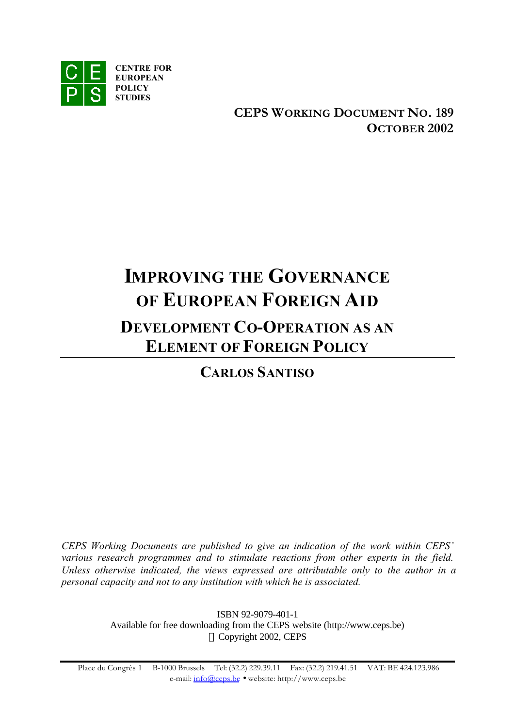

**CEPS WORKING DOCUMENT NO. 189 OCTOBER 2002**

# **IMPROVING THE GOVERNANCE OF EUROPEAN FOREIGN AID DEVELOPMENT CO-OPERATION AS AN ELEMENT OF FOREIGN POLICY**

**CARLOS SANTISO**

*CEPS Working Documents are published to give an indication of the work within CEPS' various research programmes and to stimulate reactions from other experts in the field. Unless otherwise indicated, the views expressed are attributable only to the author in a personal capacity and not to any institution with which he is associated.*

> ISBN 92-9079-401-1 Available for free downloading from the CEPS website (http://www.ceps.be) © Copyright 2002, CEPS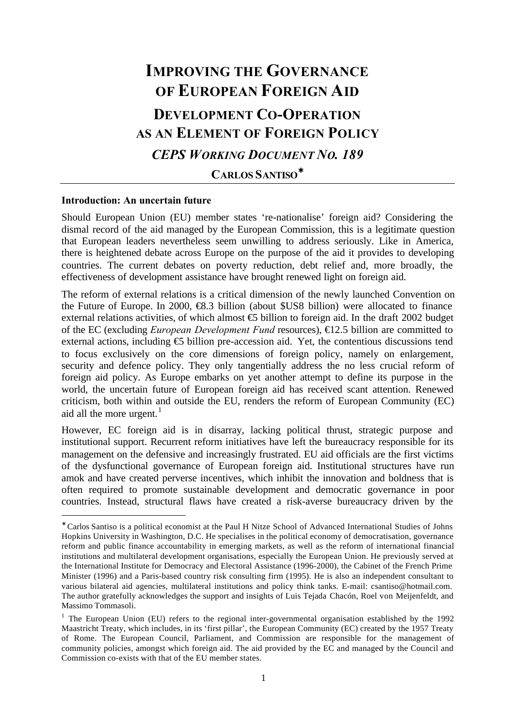# **IMPROVING THE GOVERNANCE OF EUROPEAN FOREIGN AID DEVELOPMENT CO-OPERATION AS AN ELEMENT OF FOREIGN POLICY** *CEPS WORKING DOCUMENT NO. 189*

**CARLOS SANTISO\***

#### **Introduction: An uncertain future**

l

Should European Union (EU) member states 're-nationalise' foreign aid? Considering the dismal record of the aid managed by the European Commission, this is a legitimate question that European leaders nevertheless seem unwilling to address seriously. Like in America, there is heightened debate across Europe on the purpose of the aid it provides to developing countries. The current debates on poverty reduction, debt relief and, more broadly, the effectiveness of development assistance have brought renewed light on foreign aid.

The reform of external relations is a critical dimension of the newly launched Convention on the Future of Europe. In 2000, €8.3 billion (about \$US8 billion) were allocated to finance external relations activities, of which almost  $\oplus$  billion to foreign aid. In the draft 2002 budget of the EC (excluding *European Development Fund* resources), €12.5 billion are committed to external actions, including  $\epsilon$  billion pre-accession aid. Yet, the contentious discussions tend to focus exclusively on the core dimensions of foreign policy, namely on enlargement, security and defence policy. They only tangentially address the no less crucial reform of foreign aid policy. As Europe embarks on yet another attempt to define its purpose in the world, the uncertain future of European foreign aid has received scant attention. Renewed criticism, both within and outside the EU, renders the reform of European Community (EC) aid all the more urgent. $<sup>1</sup>$ </sup>

However, EC foreign aid is in disarray, lacking political thrust, strategic purpose and institutional support. Recurrent reform initiatives have left the bureaucracy responsible for its management on the defensive and increasingly frustrated. EU aid officials are the first victims of the dysfunctional governance of European foreign aid. Institutional structures have run amok and have created perverse incentives, which inhibit the innovation and boldness that is often required to promote sustainable development and democratic governance in poor countries. Instead, structural flaws have created a risk-averse bureaucracy driven by the

<sup>∗</sup> Carlos Santiso is a political economist at the Paul H Nitze School of Advanced International Studies of Johns Hopkins University in Washington, D.C. He specialises in the political economy of democratisation, governance reform and public finance accountability in emerging markets, as well as the reform of international financial institutions and multilateral development organisations, especially the European Union. He previously served at the International Institute for Democracy and Electoral Assistance (1996-2000), the Cabinet of the French Prime Minister (1996) and a Paris-based country risk consulting firm (1995). He is also an independent consultant to various bilateral aid agencies, multilateral institutions and policy think tanks. E-mail: csantiso@hotmail.com. The author gratefully acknowledges the support and insights of Luis Tejada Chacón, Roel von Meijenfeldt, and Massimo Tommasoli.

<sup>&</sup>lt;sup>1</sup> The European Union (EU) refers to the regional inter-governmental organisation established by the 1992 Maastricht Treaty, which includes, in its 'first pillar', the European Community (EC) created by the 1957 Treaty of Rome. The European Council, Parliament, and Commission are responsible for the management of community policies, amongst which foreign aid. The aid provided by the EC and managed by the Council and Commission co-exists with that of the EU member states.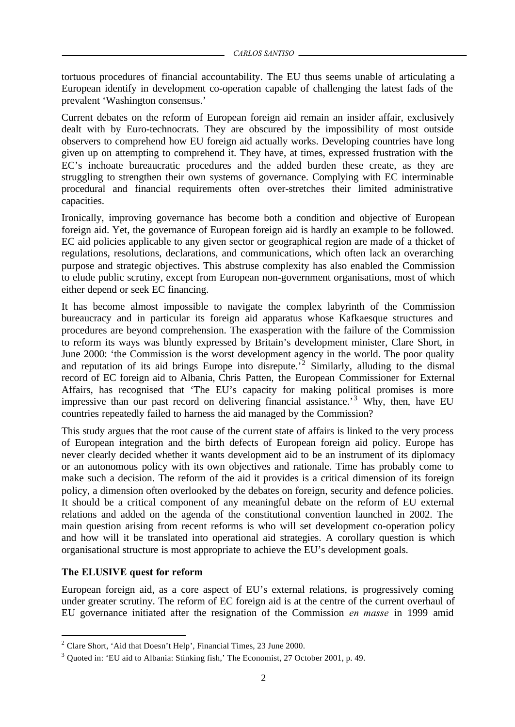tortuous procedures of financial accountability. The EU thus seems unable of articulating a European identify in development co-operation capable of challenging the latest fads of the prevalent 'Washington consensus.'

Current debates on the reform of European foreign aid remain an insider affair, exclusively dealt with by Euro-technocrats. They are obscured by the impossibility of most outside observers to comprehend how EU foreign aid actually works. Developing countries have long given up on attempting to comprehend it. They have, at times, expressed frustration with the EC's inchoate bureaucratic procedures and the added burden these create, as they are struggling to strengthen their own systems of governance. Complying with EC interminable procedural and financial requirements often over-stretches their limited administrative capacities.

Ironically, improving governance has become both a condition and objective of European foreign aid. Yet, the governance of European foreign aid is hardly an example to be followed. EC aid policies applicable to any given sector or geographical region are made of a thicket of regulations, resolutions, declarations, and communications, which often lack an overarching purpose and strategic objectives. This abstruse complexity has also enabled the Commission to elude public scrutiny, except from European non-government organisations, most of which either depend or seek EC financing.

It has become almost impossible to navigate the complex labyrinth of the Commission bureaucracy and in particular its foreign aid apparatus whose Kafkaesque structures and procedures are beyond comprehension. The exasperation with the failure of the Commission to reform its ways was bluntly expressed by Britain's development minister, Clare Short, in June 2000: 'the Commission is the worst development agency in the world. The poor quality and reputation of its aid brings Europe into disrepute.<sup>72</sup> Similarly, alluding to the dismal record of EC foreign aid to Albania, Chris Patten, the European Commissioner for External Affairs, has recognised that 'The EU's capacity for making political promises is more impressive than our past record on delivering financial assistance.<sup>3</sup> Why, then, have EU countries repeatedly failed to harness the aid managed by the Commission?

This study argues that the root cause of the current state of affairs is linked to the very process of European integration and the birth defects of European foreign aid policy. Europe has never clearly decided whether it wants development aid to be an instrument of its diplomacy or an autonomous policy with its own objectives and rationale. Time has probably come to make such a decision. The reform of the aid it provides is a critical dimension of its foreign policy, a dimension often overlooked by the debates on foreign, security and defence policies. It should be a critical component of any meaningful debate on the reform of EU external relations and added on the agenda of the constitutional convention launched in 2002. The main question arising from recent reforms is who will set development co-operation policy and how will it be translated into operational aid strategies. A corollary question is which organisational structure is most appropriate to achieve the EU's development goals.

# **The ELUSIVE quest for reform**

l

European foreign aid, as a core aspect of EU's external relations, is progressively coming under greater scrutiny. The reform of EC foreign aid is at the centre of the current overhaul of EU governance initiated after the resignation of the Commission *en masse* in 1999 amid

<sup>&</sup>lt;sup>2</sup> Clare Short, 'Aid that Doesn't Help', Financial Times, 23 June 2000.

 $3$  Quoted in: 'EU aid to Albania: Stinking fish,' The Economist, 27 October 2001, p. 49.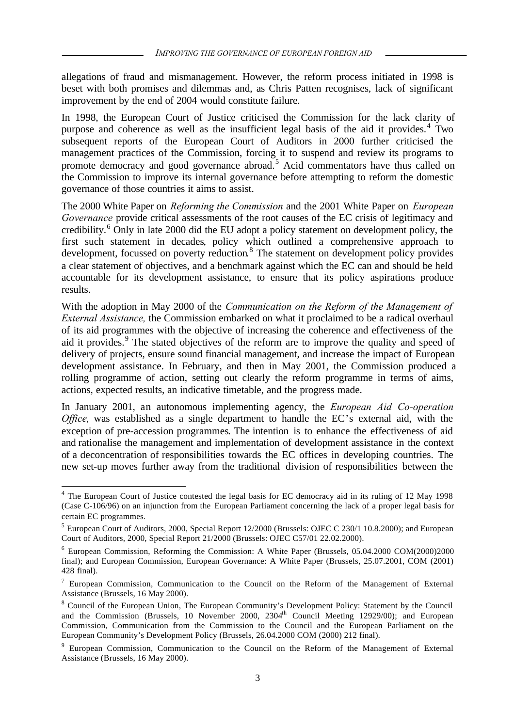allegations of fraud and mismanagement. However, the reform process initiated in 1998 is beset with both promises and dilemmas and, as Chris Patten recognises, lack of significant improvement by the end of 2004 would constitute failure.

In 1998, the European Court of Justice criticised the Commission for the lack clarity of purpose and coherence as well as the insufficient legal basis of the aid it provides.<sup>4</sup> Two subsequent reports of the European Court of Auditors in 2000 further criticised the management practices of the Commission, forcing it to suspend and review its programs to promote democracy and good governance abroad.<sup>5</sup> Acid commentators have thus called on the Commission to improve its internal governance before attempting to reform the domestic governance of those countries it aims to assist.

The 2000 White Paper on *Reforming the Commission* and the 2001 White Paper on *European Governance* provide critical assessments of the root causes of the EC crisis of legitimacy and credibility.<sup>6</sup> Only in late 2000 did the EU adopt a policy statement on development policy, the first such statement in decades, policy which outlined a comprehensive approach to development, focussed on poverty reduction.<sup>8</sup> The statement on development policy provides a clear statement of objectives, and a benchmark against which the EC can and should be held accountable for its development assistance, to ensure that its policy aspirations produce results.

With the adoption in May 2000 of the *Communication on the Reform of the Management of External Assistance,* the Commission embarked on what it proclaimed to be a radical overhaul of its aid programmes with the objective of increasing the coherence and effectiveness of the aid it provides.<sup>9</sup> The stated objectives of the reform are to improve the quality and speed of delivery of projects, ensure sound financial management, and increase the impact of European development assistance. In February, and then in May 2001, the Commission produced a rolling programme of action, setting out clearly the reform programme in terms of aims, actions, expected results, an indicative timetable, and the progress made.

In January 2001, an autonomous implementing agency, the *European Aid Co-operation Office*, was established as a single department to handle the EC's external aid, with the exception of pre-accession programmes. The intention is to enhance the effectiveness of aid and rationalise the management and implementation of development assistance in the context of a deconcentration of responsibilities towards the EC offices in developing countries. The new set-up moves further away from the traditional division of responsibilities between the

<sup>&</sup>lt;sup>4</sup> The European Court of Justice contested the legal basis for EC democracy aid in its ruling of 12 May 1998 (Case C-106/96) on an injunction from the European Parliament concerning the lack of a proper legal basis for certain EC programmes.

<sup>&</sup>lt;sup>5</sup> European Court of Auditors, 2000, Special Report 12/2000 (Brussels: OJEC C 230/1 10.8.2000); and European Court of Auditors, 2000, Special Report 21/2000 (Brussels: OJEC C57/01 22.02.2000).

<sup>&</sup>lt;sup>6</sup> European Commission, Reforming the Commission: A White Paper (Brussels, 05.04.2000 COM(2000)2000 final); and European Commission, European Governance: A White Paper (Brussels, 25.07.2001, COM (2001) 428 final).

<sup>&</sup>lt;sup>7</sup> European Commission, Communication to the Council on the Reform of the Management of External Assistance (Brussels, 16 May 2000).

<sup>&</sup>lt;sup>8</sup> Council of the European Union, The European Community's Development Policy: Statement by the Council and the Commission (Brussels, 10 November 2000,  $2304<sup>th</sup>$  Council Meeting 12929/00); and European Commission, Communication from the Commission to the Council and the European Parliament on the European Community's Development Policy (Brussels, 26.04.2000 COM (2000) 212 final).

<sup>&</sup>lt;sup>9</sup> European Commission, Communication to the Council on the Reform of the Management of External Assistance (Brussels, 16 May 2000).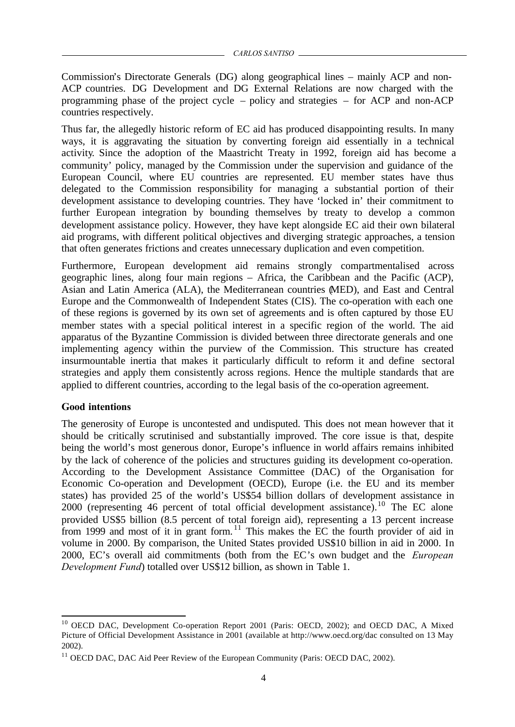Commission's Directorate Generals (DG) along geographical lines – mainly ACP and non-ACP countries. DG Development and DG External Relations are now charged with the programming phase of the project cycle – policy and strategies – for ACP and non-ACP countries respectively.

Thus far, the allegedly historic reform of EC aid has produced disappointing results. In many ways, it is aggravating the situation by converting foreign aid essentially in a technical activity. Since the adoption of the Maastricht Treaty in 1992, foreign aid has become a community' policy, managed by the Commission under the supervision and guidance of the European Council, where EU countries are represented. EU member states have thus delegated to the Commission responsibility for managing a substantial portion of their development assistance to developing countries. They have 'locked in' their commitment to further European integration by bounding themselves by treaty to develop a common development assistance policy. However, they have kept alongside EC aid their own bilateral aid programs, with different political objectives and diverging strategic approaches, a tension that often generates frictions and creates unnecessary duplication and even competition.

Furthermore, European development aid remains strongly compartmentalised across geographic lines, along four main regions – Africa, the Caribbean and the Pacific (ACP), Asian and Latin America (ALA), the Mediterranean countries (MED), and East and Central Europe and the Commonwealth of Independent States (CIS). The co-operation with each one of these regions is governed by its own set of agreements and is often captured by those EU member states with a special political interest in a specific region of the world. The aid apparatus of the Byzantine Commission is divided between three directorate generals and one implementing agency within the purview of the Commission. This structure has created insurmountable inertia that makes it particularly difficult to reform it and define sectoral strategies and apply them consistently across regions. Hence the multiple standards that are applied to different countries, according to the legal basis of the co-operation agreement.

# **Good intentions**

l

The generosity of Europe is uncontested and undisputed. This does not mean however that it should be critically scrutinised and substantially improved. The core issue is that, despite being the world's most generous donor, Europe's influence in world affairs remains inhibited by the lack of coherence of the policies and structures guiding its development co-operation. According to the Development Assistance Committee (DAC) of the Organisation for Economic Co-operation and Development (OECD), Europe (i.e. the EU and its member states) has provided 25 of the world's US\$54 billion dollars of development assistance in 2000 (representing 46 percent of total official development assistance).<sup>10</sup> The EC alone provided US\$5 billion (8.5 percent of total foreign aid), representing a 13 percent increase from 1999 and most of it in grant form.<sup>11</sup> This makes the EC the fourth provider of aid in volume in 2000. By comparison, the United States provided US\$10 billion in aid in 2000. In 2000, EC's overall aid commitments (both from the EC's own budget and the *European Development Fund*) totalled over US\$12 billion, as shown in Table 1.

<sup>&</sup>lt;sup>10</sup> OECD DAC, Development Co-operation Report 2001 (Paris: OECD, 2002); and OECD DAC, A Mixed Picture of Official Development Assistance in 2001 (available at http://www.oecd.org/dac consulted on 13 May 2002).

 $11$  OECD DAC, DAC Aid Peer Review of the European Community (Paris: OECD DAC, 2002).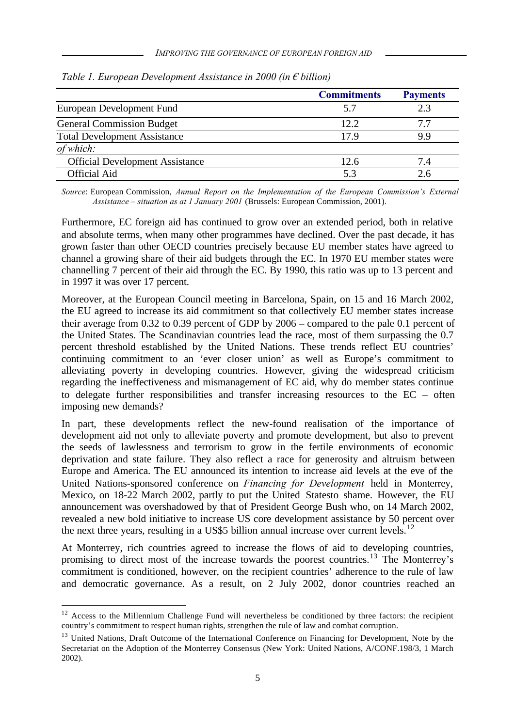|                                        | <b>Commitments</b> | <b>Payments</b> |
|----------------------------------------|--------------------|-----------------|
| European Development Fund              | 5.7                | 2.3             |
| <b>General Commission Budget</b>       | 12.2               | 77              |
| <b>Total Development Assistance</b>    | 17.9               | 9.9             |
| of which:                              |                    |                 |
| <b>Official Development Assistance</b> | 12.6               | 7.4             |
| <b>Official Aid</b>                    | 53                 |                 |

*Table 1. European Development Assistance in 2000 (in € billion)*

*Source*: European Commission, *Annual Report on the Implementation of the European Commission's External Assistance – situation as at 1 January 2001* (Brussels: European Commission, 2001).

Furthermore, EC foreign aid has continued to grow over an extended period, both in relative and absolute terms, when many other programmes have declined. Over the past decade, it has grown faster than other OECD countries precisely because EU member states have agreed to channel a growing share of their aid budgets through the EC. In 1970 EU member states were channelling 7 percent of their aid through the EC. By 1990, this ratio was up to 13 percent and in 1997 it was over 17 percent.

Moreover, at the European Council meeting in Barcelona, Spain, on 15 and 16 March 2002, the EU agreed to increase its aid commitment so that collectively EU member states increase their average from 0.32 to 0.39 percent of GDP by 2006 – compared to the pale 0.1 percent of the United States. The Scandinavian countries lead the race, most of them surpassing the 0.7 percent threshold established by the United Nations. These trends reflect EU countries' continuing commitment to an 'ever closer union' as well as Europe's commitment to alleviating poverty in developing countries. However, giving the widespread criticism regarding the ineffectiveness and mismanagement of EC aid, why do member states continue to delegate further responsibilities and transfer increasing resources to the EC – often imposing new demands?

In part, these developments reflect the new-found realisation of the importance of development aid not only to alleviate poverty and promote development, but also to prevent the seeds of lawlessness and terrorism to grow in the fertile environments of economic deprivation and state failure. They also reflect a race for generosity and altruism between Europe and America. The EU announced its intention to increase aid levels at the eve of the United Nations-sponsored conference on *Financing for Development* held in Monterrey, Mexico, on 18-22 March 2002, partly to put the United Statesto shame. However, the EU announcement was overshadowed by that of President George Bush who, on 14 March 2002, revealed a new bold initiative to increase US core development assistance by 50 percent over the next three years, resulting in a US\$5 billion annual increase over current levels.<sup>12</sup>

At Monterrey, rich countries agreed to increase the flows of aid to developing countries, promising to direct most of the increase towards the poorest countries.<sup>13</sup> The Monterrey's commitment is conditioned, however, on the recipient countries' adherence to the rule of law and democratic governance. As a result, on 2 July 2002, donor countries reached an

<sup>&</sup>lt;sup>12</sup> Access to the Millennium Challenge Fund will nevertheless be conditioned by three factors: the recipient country's commitment to respect human rights, strengthen the rule of law and combat corruption.

<sup>&</sup>lt;sup>13</sup> United Nations, Draft Outcome of the International Conference on Financing for Development, Note by the Secretariat on the Adoption of the Monterrey Consensus (New York: United Nations, A/CONF.198/3, 1 March 2002).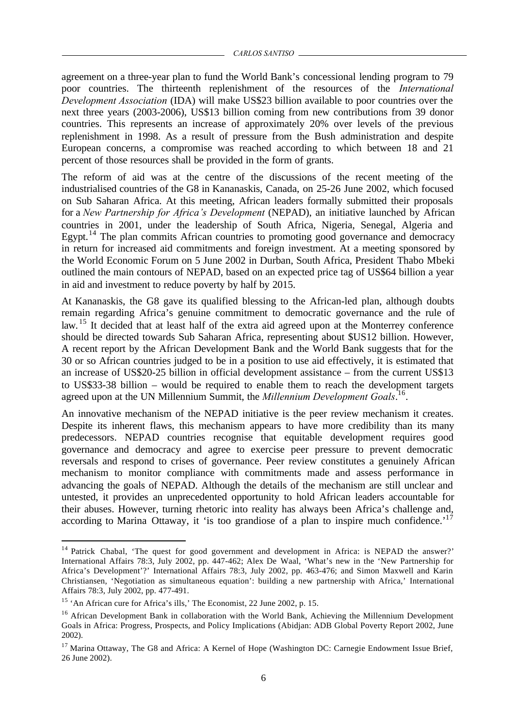agreement on a three-year plan to fund the World Bank's concessional lending program to 79 poor countries. The thirteenth replenishment of the resources of the *International Development Association* (IDA) will make US\$23 billion available to poor countries over the next three years (2003-2006), US\$13 billion coming from new contributions from 39 donor countries. This represents an increase of approximately 20% over levels of the previous replenishment in 1998. As a result of pressure from the Bush administration and despite European concerns, a compromise was reached according to which between 18 and 21 percent of those resources shall be provided in the form of grants.

The reform of aid was at the centre of the discussions of the recent meeting of the industrialised countries of the G8 in Kananaskis, Canada, on 25-26 June 2002, which focused on Sub Saharan Africa. At this meeting, African leaders formally submitted their proposals for a *New Partnership for Africa's Development* (NEPAD), an initiative launched by African countries in 2001, under the leadership of South Africa, Nigeria, Senegal, Algeria and Egypt.<sup>14</sup> The plan commits African countries to promoting good governance and democracy in return for increased aid commitments and foreign investment. At a meeting sponsored by the World Economic Forum on 5 June 2002 in Durban, South Africa, President Thabo Mbeki outlined the main contours of NEPAD, based on an expected price tag of US\$64 billion a year in aid and investment to reduce poverty by half by 2015.

At Kananaskis, the G8 gave its qualified blessing to the African-led plan, although doubts remain regarding Africa's genuine commitment to democratic governance and the rule of law. <sup>15</sup> It decided that at least half of the extra aid agreed upon at the Monterrey conference should be directed towards Sub Saharan Africa, representing about \$US12 billion. However, A recent report by the African Development Bank and the World Bank suggests that for the 30 or so African countries judged to be in a position to use aid effectively, it is estimated that an increase of US\$20-25 billion in official development assistance – from the current US\$13 to US\$33-38 billion – would be required to enable them to reach the development targets agreed upon at the UN Millennium Summit, the *Millennium Development Goals*. 16 .

An innovative mechanism of the NEPAD initiative is the peer review mechanism it creates. Despite its inherent flaws, this mechanism appears to have more credibility than its many predecessors. NEPAD countries recognise that equitable development requires good governance and democracy and agree to exercise peer pressure to prevent democratic reversals and respond to crises of governance. Peer review constitutes a genuinely African mechanism to monitor compliance with commitments made and assess performance in advancing the goals of NEPAD. Although the details of the mechanism are still unclear and untested, it provides an unprecedented opportunity to hold African leaders accountable for their abuses. However, turning rhetoric into reality has always been Africa's challenge and, according to Marina Ottaway, it 'is too grandiose of a plan to inspire much confidence.'<sup>17</sup>

<sup>&</sup>lt;sup>14</sup> Patrick Chabal, 'The quest for good government and development in Africa: is NEPAD the answer?' International Affairs 78:3, July 2002, pp. 447-462; Alex De Waal, 'What's new in the 'New Partnership for Africa's Development'?' International Affairs 78:3, July 2002, pp. 463-476; and Simon Maxwell and Karin Christiansen, 'Negotiation as simultaneous equation': building a new partnership with Africa,' International Affairs 78:3, July 2002, pp. 477-491.

<sup>&</sup>lt;sup>15</sup> 'An African cure for Africa's ills,' The Economist, 22 June 2002, p. 15.

<sup>&</sup>lt;sup>16</sup> African Development Bank in collaboration with the World Bank, Achieving the Millennium Development Goals in Africa: Progress, Prospects, and Policy Implications (Abidjan: ADB Global Poverty Report 2002, June 2002).

<sup>&</sup>lt;sup>17</sup> Marina Ottaway, The G8 and Africa: A Kernel of Hope (Washington DC: Carnegie Endowment Issue Brief, 26 June 2002).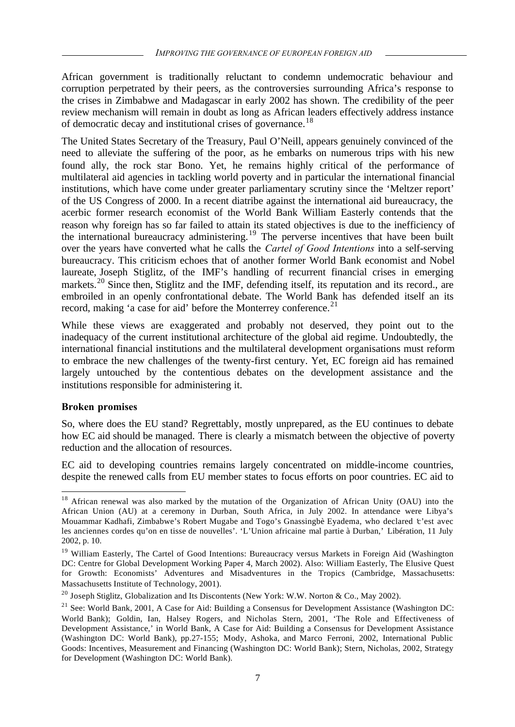African government is traditionally reluctant to condemn undemocratic behaviour and corruption perpetrated by their peers, as the controversies surrounding Africa's response to the crises in Zimbabwe and Madagascar in early 2002 has shown. The credibility of the peer review mechanism will remain in doubt as long as African leaders effectively address instance of democratic decay and institutional crises of governance.<sup>18</sup>

The United States Secretary of the Treasury, Paul O'Neill, appears genuinely convinced of the need to alleviate the suffering of the poor, as he embarks on numerous trips with his new found ally, the rock star Bono. Yet, he remains highly critical of the performance of multilateral aid agencies in tackling world poverty and in particular the international financial institutions, which have come under greater parliamentary scrutiny since the 'Meltzer report' of the US Congress of 2000. In a recent diatribe against the international aid bureaucracy, the acerbic former research economist of the World Bank William Easterly contends that the reason why foreign has so far failed to attain its stated objectives is due to the inefficiency of the international bureaucracy administering.<sup>19</sup> The perverse incentives that have been built over the years have converted what he calls the *Cartel of Good Intentions* into a self-serving bureaucracy. This criticism echoes that of another former World Bank economist and Nobel laureate, Joseph Stiglitz, of the IMF's handling of recurrent financial crises in emerging markets.<sup>20</sup> Since then, Stiglitz and the IMF, defending itself, its reputation and its record., are embroiled in an openly confrontational debate. The World Bank has defended itself an its record, making 'a case for aid' before the Monterrey conference.<sup>21</sup>

While these views are exaggerated and probably not deserved, they point out to the inadequacy of the current institutional architecture of the global aid regime. Undoubtedly, the international financial institutions and the multilateral development organisations must reform to embrace the new challenges of the twenty-first century. Yet, EC foreign aid has remained largely untouched by the contentious debates on the development assistance and the institutions responsible for administering it.

# **Broken promises**

l

So, where does the EU stand? Regrettably, mostly unprepared, as the EU continues to debate how EC aid should be managed. There is clearly a mismatch between the objective of poverty reduction and the allocation of resources.

EC aid to developing countries remains largely concentrated on middle-income countries, despite the renewed calls from EU member states to focus efforts on poor countries. EC aid to

<sup>&</sup>lt;sup>18</sup> African renewal was also marked by the mutation of the Organization of African Unity (OAU) into the African Union (AU) at a ceremony in Durban, South Africa, in July 2002. In attendance were Libya's Mouammar Kadhafi, Zimbabwe's Robert Mugabe and Togo's Gnassingbè Eyadema, who declared 'c'est avec les anciennes cordes qu'on en tisse de nouvelles'. 'L'Union africaine mal partie à Durban,' Libération, 11 July 2002, p. 10.

<sup>&</sup>lt;sup>19</sup> William Easterly, The Cartel of Good Intentions: Bureaucracy versus Markets in Foreign Aid (Washington DC: Centre for Global Development Working Paper 4, March 2002). Also: William Easterly, The Elusive Quest for Growth: Economists' Adventures and Misadventures in the Tropics (Cambridge, Massachusetts: Massachusetts Institute of Technology, 2001).

<sup>&</sup>lt;sup>20</sup> Joseph Stiglitz, Globalization and Its Discontents (New York: W.W. Norton & Co., May 2002).

 $21$  See: World Bank, 2001, A Case for Aid: Building a Consensus for Development Assistance (Washington DC: World Bank); Goldin, Ian, Halsey Rogers, and Nicholas Stern, 2001, 'The Role and Effectiveness of Development Assistance,' in World Bank, A Case for Aid: Building a Consensus for Development Assistance (Washington DC: World Bank), pp.27-155; Mody, Ashoka, and Marco Ferroni, 2002, International Public Goods: Incentives, Measurement and Financing (Washington DC: World Bank); Stern, Nicholas, 2002, Strategy for Development (Washington DC: World Bank).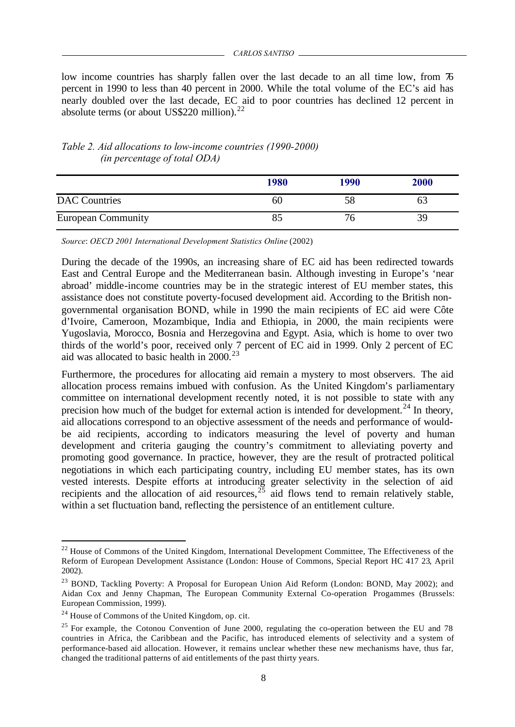low income countries has sharply fallen over the last decade to an all time low, from 76 percent in 1990 to less than 40 percent in 2000. While the total volume of the EC's aid has nearly doubled over the last decade, EC aid to poor countries has declined 12 percent in absolute terms (or about US\$220 million).<sup>22</sup>

|                           | 1980 | 1990 | 2000 |
|---------------------------|------|------|------|
| <b>DAC</b> Countries      | 60   |      | ხპ   |
| <b>European Community</b> |      |      | 39   |

# *Table 2. Aid allocations to low-income countries (1990-2000) (in percentage of total ODA)*

*Source*: *OECD 2001 International Development Statistics Online* (2002)

During the decade of the 1990s, an increasing share of EC aid has been redirected towards East and Central Europe and the Mediterranean basin. Although investing in Europe's 'near abroad' middle-income countries may be in the strategic interest of EU member states, this assistance does not constitute poverty-focused development aid. According to the British nongovernmental organisation BOND, while in 1990 the main recipients of EC aid were Côte d'Ivoire, Cameroon, Mozambique, India and Ethiopia, in 2000, the main recipients were Yugoslavia, Morocco, Bosnia and Herzegovina and Egypt. Asia, which is home to over two thirds of the world's poor, received only 7 percent of EC aid in 1999. Only 2 percent of EC aid was allocated to basic health in  $2000.<sup>23</sup>$ 

Furthermore, the procedures for allocating aid remain a mystery to most observers. The aid allocation process remains imbued with confusion. As the United Kingdom's parliamentary committee on international development recently noted, it is not possible to state with any precision how much of the budget for external action is intended for development.<sup>24</sup> In theory, aid allocations correspond to an objective assessment of the needs and performance of wouldbe aid recipients, according to indicators measuring the level of poverty and human development and criteria gauging the country's commitment to alleviating poverty and promoting good governance. In practice, however, they are the result of protracted political negotiations in which each participating country, including EU member states, has its own vested interests. Despite efforts at introducing greater selectivity in the selection of aid recipients and the allocation of aid resources,  $25$  aid flows tend to remain relatively stable, within a set fluctuation band, reflecting the persistence of an entitlement culture.

 $^{22}$  House of Commons of the United Kingdom, International Development Committee, The Effectiveness of the Reform of European Development Assistance (London: House of Commons, Special Report HC 417 23, April 2002).

<sup>&</sup>lt;sup>23</sup> BOND, Tackling Poverty: A Proposal for European Union Aid Reform (London: BOND, May 2002); and Aidan Cox and Jenny Chapman, The European Community External Co-operation Progammes (Brussels: European Commission, 1999).

 $24$  House of Commons of the United Kingdom, op. cit.

 $25$  For example, the Cotonou Convention of June 2000, regulating the co-operation between the EU and 78 countries in Africa, the Caribbean and the Pacific, has introduced elements of selectivity and a system of performance-based aid allocation. However, it remains unclear whether these new mechanisms have, thus far, changed the traditional patterns of aid entitlements of the past thirty years.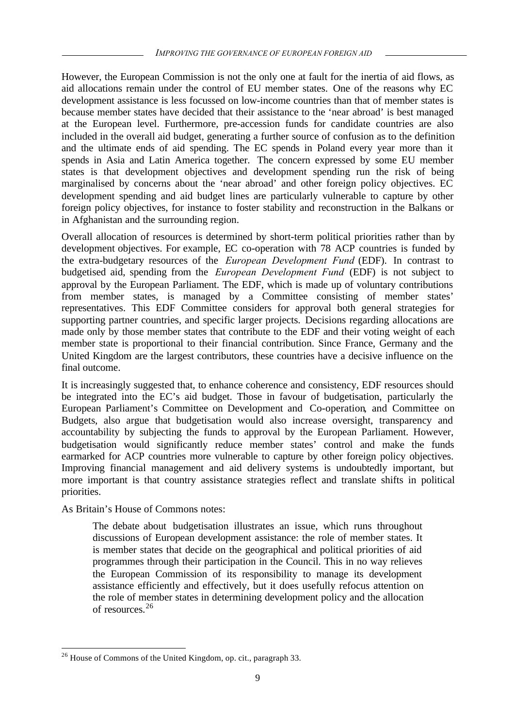However, the European Commission is not the only one at fault for the inertia of aid flows, as aid allocations remain under the control of EU member states. One of the reasons why EC development assistance is less focussed on low-income countries than that of member states is because member states have decided that their assistance to the 'near abroad' is best managed at the European level. Furthermore, pre-accession funds for candidate countries are also included in the overall aid budget, generating a further source of confusion as to the definition and the ultimate ends of aid spending. The EC spends in Poland every year more than it spends in Asia and Latin America together. The concern expressed by some EU member states is that development objectives and development spending run the risk of being marginalised by concerns about the 'near abroad' and other foreign policy objectives. EC development spending and aid budget lines are particularly vulnerable to capture by other foreign policy objectives, for instance to foster stability and reconstruction in the Balkans or in Afghanistan and the surrounding region.

Overall allocation of resources is determined by short-term political priorities rather than by development objectives. For example, EC co-operation with 78 ACP countries is funded by the extra-budgetary resources of the *European Development Fund* (EDF). In contrast to budgetised aid, spending from the *European Development Fund* (EDF) is not subject to approval by the European Parliament. The EDF, which is made up of voluntary contributions from member states, is managed by a Committee consisting of member states' representatives. This EDF Committee considers for approval both general strategies for supporting partner countries, and specific larger projects. Decisions regarding allocations are made only by those member states that contribute to the EDF and their voting weight of each member state is proportional to their financial contribution. Since France, Germany and the United Kingdom are the largest contributors, these countries have a decisive influence on the final outcome.

It is increasingly suggested that, to enhance coherence and consistency, EDF resources should be integrated into the EC's aid budget. Those in favour of budgetisation, particularly the European Parliament's Committee on Development and Co-operation, and Committee on Budgets, also argue that budgetisation would also increase oversight, transparency and accountability by subjecting the funds to approval by the European Parliament. However, budgetisation would significantly reduce member states' control and make the funds earmarked for ACP countries more vulnerable to capture by other foreign policy objectives. Improving financial management and aid delivery systems is undoubtedly important, but more important is that country assistance strategies reflect and translate shifts in political priorities.

As Britain's House of Commons notes:

The debate about budgetisation illustrates an issue, which runs throughout discussions of European development assistance: the role of member states. It is member states that decide on the geographical and political priorities of aid programmes through their participation in the Council. This in no way relieves the European Commission of its responsibility to manage its development assistance efficiently and effectively, but it does usefully refocus attention on the role of member states in determining development policy and the allocation of resources.<sup>26</sup>

l <sup>26</sup> House of Commons of the United Kingdom, op. cit., paragraph 33.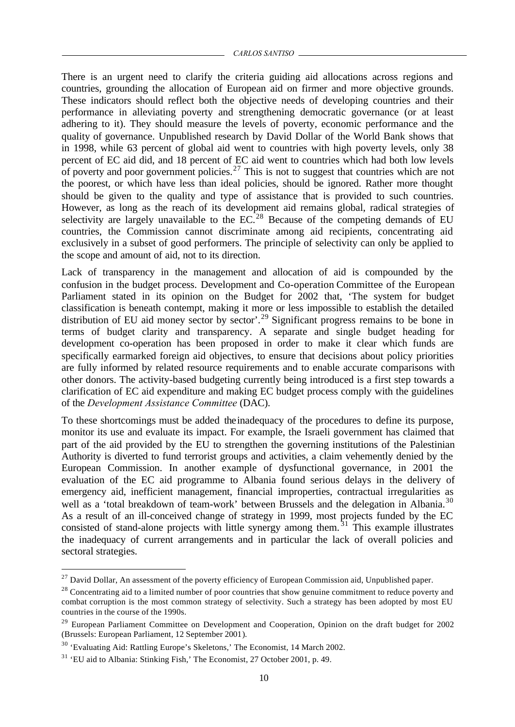There is an urgent need to clarify the criteria guiding aid allocations across regions and countries, grounding the allocation of European aid on firmer and more objective grounds. These indicators should reflect both the objective needs of developing countries and their performance in alleviating poverty and strengthening democratic governance (or at least adhering to it). They should measure the levels of poverty, economic performance and the quality of governance. Unpublished research by David Dollar of the World Bank shows that in 1998, while 63 percent of global aid went to countries with high poverty levels, only 38 percent of EC aid did, and 18 percent of EC aid went to countries which had both low levels of poverty and poor government policies.<sup>27</sup> This is not to suggest that countries which are not the poorest, or which have less than ideal policies, should be ignored. Rather more thought should be given to the quality and type of assistance that is provided to such countries. However, as long as the reach of its development aid remains global, radical strategies of selectivity are largely unavailable to the  $EC<sup>28</sup>$  Because of the competing demands of EU countries, the Commission cannot discriminate among aid recipients, concentrating aid exclusively in a subset of good performers. The principle of selectivity can only be applied to the scope and amount of aid, not to its direction.

Lack of transparency in the management and allocation of aid is compounded by the confusion in the budget process. Development and Co-operation Committee of the European Parliament stated in its opinion on the Budget for 2002 that, 'The system for budget classification is beneath contempt, making it more or less impossible to establish the detailed distribution of EU aid money sector by sector'.<sup>29</sup> Significant progress remains to be bone in terms of budget clarity and transparency. A separate and single budget heading for development co-operation has been proposed in order to make it clear which funds are specifically earmarked foreign aid objectives, to ensure that decisions about policy priorities are fully informed by related resource requirements and to enable accurate comparisons with other donors. The activity-based budgeting currently being introduced is a first step towards a clarification of EC aid expenditure and making EC budget process comply with the guidelines of the *Development Assistance Committee* (DAC).

To these shortcomings must be added theinadequacy of the procedures to define its purpose, monitor its use and evaluate its impact. For example, the Israeli government has claimed that part of the aid provided by the EU to strengthen the governing institutions of the Palestinian Authority is diverted to fund terrorist groups and activities, a claim vehemently denied by the European Commission. In another example of dysfunctional governance, in 2001 the evaluation of the EC aid programme to Albania found serious delays in the delivery of emergency aid, inefficient management, financial improperties, contractual irregularities as well as a 'total breakdown of team-work' between Brussels and the delegation in Albania.<sup>30</sup> As a result of an ill-conceived change of strategy in 1999, most projects funded by the EC consisted of stand-alone projects with little synergy among them.<sup>31</sup> This example illustrates the inadequacy of current arrangements and in particular the lack of overall policies and sectoral strategies.

 $27$  David Dollar, An assessment of the poverty efficiency of European Commission aid, Unpublished paper.

<sup>&</sup>lt;sup>28</sup> Concentrating aid to a limited number of poor countries that show genuine commitment to reduce poverty and combat corruption is the most common strategy of selectivity. Such a strategy has been adopted by most EU countries in the course of the 1990s.

<sup>&</sup>lt;sup>29</sup> European Parliament Committee on Development and Cooperation, Opinion on the draft budget for 2002 (Brussels: European Parliament, 12 September 2001).

<sup>&</sup>lt;sup>30</sup> 'Evaluating Aid: Rattling Europe's Skeletons,' The Economist, 14 March 2002.

 $31$  'EU aid to Albania: Stinking Fish,' The Economist, 27 October 2001, p. 49.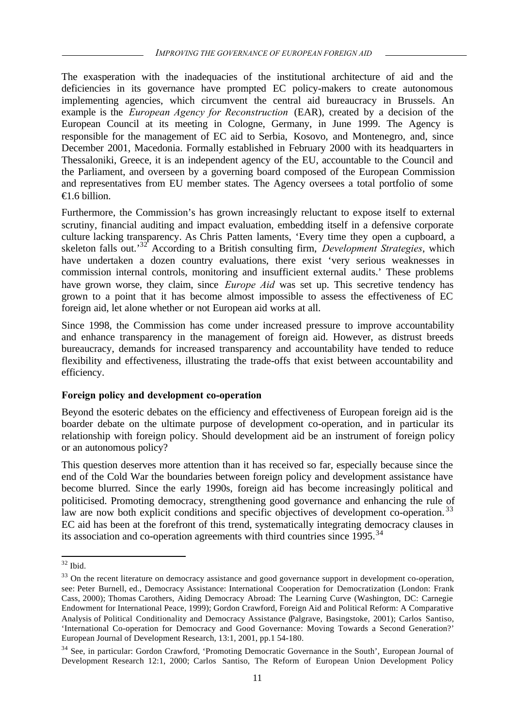The exasperation with the inadequacies of the institutional architecture of aid and the deficiencies in its governance have prompted EC policy-makers to create autonomous implementing agencies, which circumvent the central aid bureaucracy in Brussels. An example is the *European Agency for Reconstruction* (EAR), created by a decision of the European Council at its meeting in Cologne, Germany, in June 1999. The Agency is responsible for the management of EC aid to Serbia, Kosovo, and Montenegro, and, since December 2001, Macedonia. Formally established in February 2000 with its headquarters in Thessaloniki, Greece, it is an independent agency of the EU, accountable to the Council and the Parliament, and overseen by a governing board composed of the European Commission and representatives from EU member states. The Agency oversees a total portfolio of some  $\bigoplus$ .6 billion.

Furthermore, the Commission's has grown increasingly reluctant to expose itself to external scrutiny, financial auditing and impact evaluation, embedding itself in a defensive corporate culture lacking transparency. As Chris Patten laments, 'Every time they open a cupboard, a skeleton falls out.'<sup>32</sup> According to a British consulting firm, *Development Strategies*, which have undertaken a dozen country evaluations, there exist 'very serious weaknesses in commission internal controls, monitoring and insufficient external audits.' These problems have grown worse, they claim, since *Europe Aid* was set up. This secretive tendency has grown to a point that it has become almost impossible to assess the effectiveness of EC foreign aid, let alone whether or not European aid works at all.

Since 1998, the Commission has come under increased pressure to improve accountability and enhance transparency in the management of foreign aid. However, as distrust breeds bureaucracy, demands for increased transparency and accountability have tended to reduce flexibility and effectiveness, illustrating the trade-offs that exist between accountability and efficiency.

#### **Foreign policy and development co-operation**

Beyond the esoteric debates on the efficiency and effectiveness of European foreign aid is the boarder debate on the ultimate purpose of development co-operation, and in particular its relationship with foreign policy. Should development aid be an instrument of foreign policy or an autonomous policy?

This question deserves more attention than it has received so far, especially because since the end of the Cold War the boundaries between foreign policy and development assistance have become blurred. Since the early 1990s, foreign aid has become increasingly political and politicised. Promoting democracy, strengthening good governance and enhancing the rule of law are now both explicit conditions and specific objectives of development co-operation.<sup>33</sup> EC aid has been at the forefront of this trend, systematically integrating democracy clauses in its association and co-operation agreements with third countries since  $1995$ .<sup>34</sup>

 $32$  Ibid.

<sup>&</sup>lt;sup>33</sup> On the recent literature on democracy assistance and good governance support in development co-operation, see: Peter Burnell, ed., Democracy Assistance: International Cooperation for Democratization (London: Frank Cass, 2000); Thomas Carothers, Aiding Democracy Abroad: The Learning Curve (Washington, DC: Carnegie Endowment for International Peace, 1999); Gordon Crawford, Foreign Aid and Political Reform: A Comparative Analysis of Political Conditionality and Democracy Assistance (Palgrave, Basingstoke, 2001); Carlos Santiso, 'International Co-operation for Democracy and Good Governance: Moving Towards a Second Generation?' European Journal of Development Research, 13:1, 2001, pp.1 54-180.

<sup>&</sup>lt;sup>34</sup> See, in particular: Gordon Crawford, 'Promoting Democratic Governance in the South', European Journal of Development Research 12:1, 2000; Carlos Santiso, The Reform of European Union Development Policy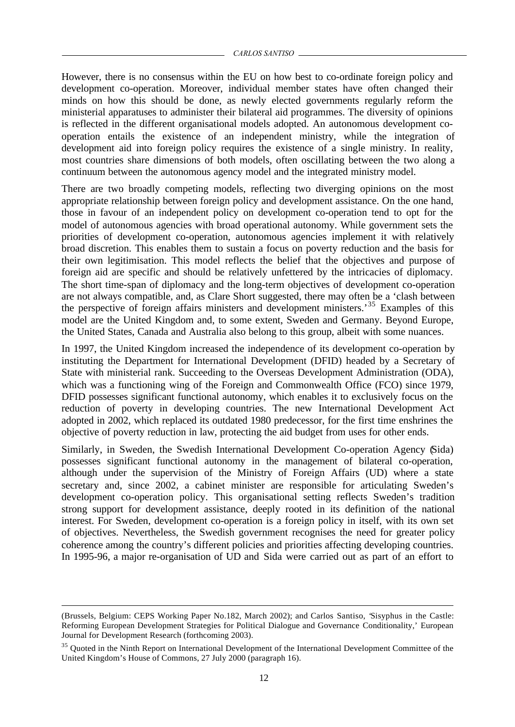However, there is no consensus within the EU on how best to co-ordinate foreign policy and development co-operation. Moreover, individual member states have often changed their minds on how this should be done, as newly elected governments regularly reform the ministerial apparatuses to administer their bilateral aid programmes. The diversity of opinions is reflected in the different organisational models adopted. An autonomous development cooperation entails the existence of an independent ministry, while the integration of development aid into foreign policy requires the existence of a single ministry. In reality, most countries share dimensions of both models, often oscillating between the two along a continuum between the autonomous agency model and the integrated ministry model.

There are two broadly competing models, reflecting two diverging opinions on the most appropriate relationship between foreign policy and development assistance. On the one hand, those in favour of an independent policy on development co-operation tend to opt for the model of autonomous agencies with broad operational autonomy. While government sets the priorities of development co-operation, autonomous agencies implement it with relatively broad discretion. This enables them to sustain a focus on poverty reduction and the basis for their own legitimisation. This model reflects the belief that the objectives and purpose of foreign aid are specific and should be relatively unfettered by the intricacies of diplomacy. The short time-span of diplomacy and the long-term objectives of development co-operation are not always compatible, and, as Clare Short suggested, there may often be a 'clash between the perspective of foreign affairs ministers and development ministers.'<sup>35</sup> Examples of this model are the United Kingdom and, to some extent, Sweden and Germany. Beyond Europe, the United States, Canada and Australia also belong to this group, albeit with some nuances.

In 1997, the United Kingdom increased the independence of its development co-operation by instituting the Department for International Development (DFID) headed by a Secretary of State with ministerial rank. Succeeding to the Overseas Development Administration (ODA), which was a functioning wing of the Foreign and Commonwealth Office (FCO) since 1979, DFID possesses significant functional autonomy, which enables it to exclusively focus on the reduction of poverty in developing countries. The new International Development Act adopted in 2002, which replaced its outdated 1980 predecessor, for the first time enshrines the objective of poverty reduction in law, protecting the aid budget from uses for other ends.

Similarly, in Sweden, the Swedish International Development Co-operation Agency (Sida) possesses significant functional autonomy in the management of bilateral co-operation, although under the supervision of the Ministry of Foreign Affairs (UD) where a state secretary and, since 2002, a cabinet minister are responsible for articulating Sweden's development co-operation policy. This organisational setting reflects Sweden's tradition strong support for development assistance, deeply rooted in its definition of the national interest. For Sweden, development co-operation is a foreign policy in itself, with its own set of objectives. Nevertheless, the Swedish government recognises the need for greater policy coherence among the country's different policies and priorities affecting developing countries. In 1995-96, a major re-organisation of UD and Sida were carried out as part of an effort to

<sup>(</sup>Brussels, Belgium: CEPS Working Paper No.182, March 2002); and Carlos Santiso, 'Sisyphus in the Castle: Reforming European Development Strategies for Political Dialogue and Governance Conditionality,' European Journal for Development Research (forthcoming 2003).

<sup>&</sup>lt;sup>35</sup> Quoted in the Ninth Report on International Development of the International Development Committee of the United Kingdom's House of Commons, 27 July 2000 (paragraph 16).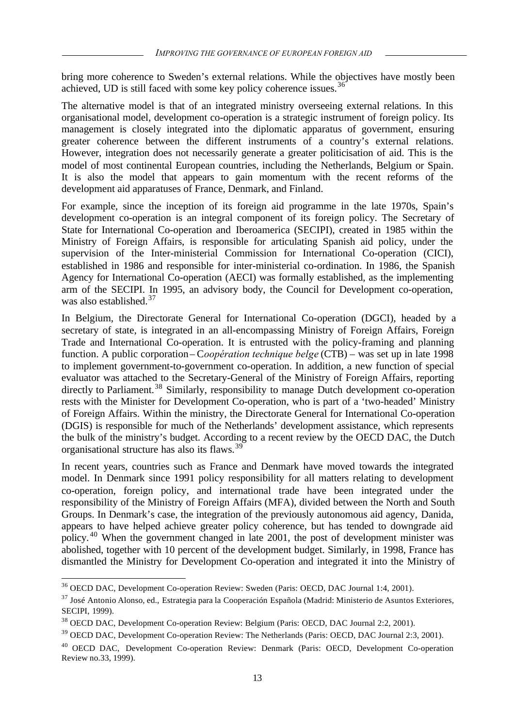bring more coherence to Sweden's external relations. While the objectives have mostly been achieved, UD is still faced with some key policy coherence issues.  $36$ 

The alternative model is that of an integrated ministry overseeing external relations. In this organisational model, development co-operation is a strategic instrument of foreign policy. Its management is closely integrated into the diplomatic apparatus of government, ensuring greater coherence between the different instruments of a country's external relations. However, integration does not necessarily generate a greater politicisation of aid. This is the model of most continental European countries, including the Netherlands, Belgium or Spain. It is also the model that appears to gain momentum with the recent reforms of the development aid apparatuses of France, Denmark, and Finland.

For example, since the inception of its foreign aid programme in the late 1970s, Spain's development co-operation is an integral component of its foreign policy. The Secretary of State for International Co-operation and Iberoamerica (SECIPI), created in 1985 within the Ministry of Foreign Affairs, is responsible for articulating Spanish aid policy, under the supervision of the Inter-ministerial Commission for International Co-operation (CICI), established in 1986 and responsible for inter-ministerial co-ordination. In 1986, the Spanish Agency for International Co-operation (AECI) was formally established, as the implementing arm of the SECIPI. In 1995, an advisory body, the Council for Development co-operation, was also established. $37$ 

In Belgium, the Directorate General for International Co-operation (DGCI), headed by a secretary of state, is integrated in an all-encompassing Ministry of Foreign Affairs, Foreign Trade and International Co-operation. It is entrusted with the policy-framing and planning function. A public corporation – C*oopération technique belge* (CTB) – was set up in late 1998 to implement government-to-government co-operation. In addition, a new function of special evaluator was attached to the Secretary-General of the Ministry of Foreign Affairs, reporting directly to Parliament.<sup>38</sup> Similarly, responsibility to manage Dutch development co-operation rests with the Minister for Development Co-operation, who is part of a 'two-headed' Ministry of Foreign Affairs. Within the ministry, the Directorate General for International Co-operation (DGIS) is responsible for much of the Netherlands' development assistance, which represents the bulk of the ministry's budget. According to a recent review by the OECD DAC, the Dutch organisational structure has also its flaws.<sup>39</sup>

In recent years, countries such as France and Denmark have moved towards the integrated model. In Denmark since 1991 policy responsibility for all matters relating to development co-operation, foreign policy, and international trade have been integrated under the responsibility of the Ministry of Foreign Affairs (MFA), divided between the North and South Groups. In Denmark's case, the integration of the previously autonomous aid agency, Danida, appears to have helped achieve greater policy coherence, but has tended to downgrade aid policy.<sup>40</sup> When the government changed in late 2001, the post of development minister was abolished, together with 10 percent of the development budget. Similarly, in 1998, France has dismantled the Ministry for Development Co-operation and integrated it into the Ministry of

<sup>36</sup> OECD DAC, Development Co-operation Review: Sweden (Paris: OECD, DAC Journal 1:4, 2001).

 $37$  José Antonio Alonso, ed., Estrategia para la Cooperación Española (Madrid: Ministerio de Asuntos Exteriores, SECIPI, 1999).

<sup>38</sup> OECD DAC, Development Co-operation Review: Belgium (Paris: OECD, DAC Journal 2:2, 2001).

<sup>&</sup>lt;sup>39</sup> OECD DAC, Development Co-operation Review: The Netherlands (Paris: OECD, DAC Journal 2:3, 2001).

<sup>&</sup>lt;sup>40</sup> OECD DAC, Development Co-operation Review: Denmark (Paris: OECD, Development Co-operation Review no.33, 1999).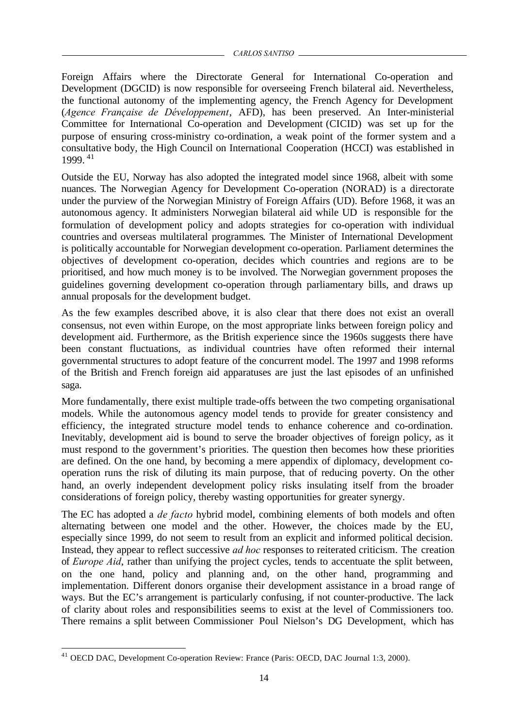Foreign Affairs where the Directorate General for International Co-operation and Development (DGCID) is now responsible for overseeing French bilateral aid. Nevertheless, the functional autonomy of the implementing agency, the French Agency for Development (*Agence Française de Développement*, AFD), has been preserved. An Inter-ministerial Committee for International Co-operation and Development (CICID) was set up for the purpose of ensuring cross-ministry co-ordination, a weak point of the former system and a consultative body, the High Council on International Cooperation (HCCI) was established in 1999. <sup>41</sup>

Outside the EU, Norway has also adopted the integrated model since 1968, albeit with some nuances. The Norwegian Agency for Development Co-operation (NORAD) is a directorate under the purview of the Norwegian Ministry of Foreign Affairs (UD). Before 1968, it was an autonomous agency. It administers Norwegian bilateral aid while UD is responsible for the formulation of development policy and adopts strategies for co-operation with individual countries and overseas multilateral programmes. The Minister of International Development is politically accountable for Norwegian development co-operation. Parliament determines the objectives of development co-operation, decides which countries and regions are to be prioritised, and how much money is to be involved. The Norwegian government proposes the guidelines governing development co-operation through parliamentary bills, and draws up annual proposals for the development budget.

As the few examples described above, it is also clear that there does not exist an overall consensus, not even within Europe, on the most appropriate links between foreign policy and development aid. Furthermore, as the British experience since the 1960s suggests there have been constant fluctuations, as individual countries have often reformed their internal governmental structures to adopt feature of the concurrent model. The 1997 and 1998 reforms of the British and French foreign aid apparatuses are just the last episodes of an unfinished saga.

More fundamentally, there exist multiple trade-offs between the two competing organisational models. While the autonomous agency model tends to provide for greater consistency and efficiency, the integrated structure model tends to enhance coherence and co-ordination. Inevitably, development aid is bound to serve the broader objectives of foreign policy, as it must respond to the government's priorities. The question then becomes how these priorities are defined. On the one hand, by becoming a mere appendix of diplomacy, development cooperation runs the risk of diluting its main purpose, that of reducing poverty. On the other hand, an overly independent development policy risks insulating itself from the broader considerations of foreign policy, thereby wasting opportunities for greater synergy.

The EC has adopted a *de facto* hybrid model, combining elements of both models and often alternating between one model and the other. However, the choices made by the EU, especially since 1999, do not seem to result from an explicit and informed political decision. Instead, they appear to reflect successive *ad hoc* responses to reiterated criticism. The creation of *Europe Aid*, rather than unifying the project cycles, tends to accentuate the split between, on the one hand, policy and planning and, on the other hand, programming and implementation. Different donors organise their development assistance in a broad range of ways. But the EC's arrangement is particularly confusing, if not counter-productive. The lack of clarity about roles and responsibilities seems to exist at the level of Commissioners too. There remains a split between Commissioner Poul Nielson's DG Development, which has

l <sup>41</sup> OECD DAC, Development Co-operation Review: France (Paris: OECD, DAC Journal 1:3, 2000).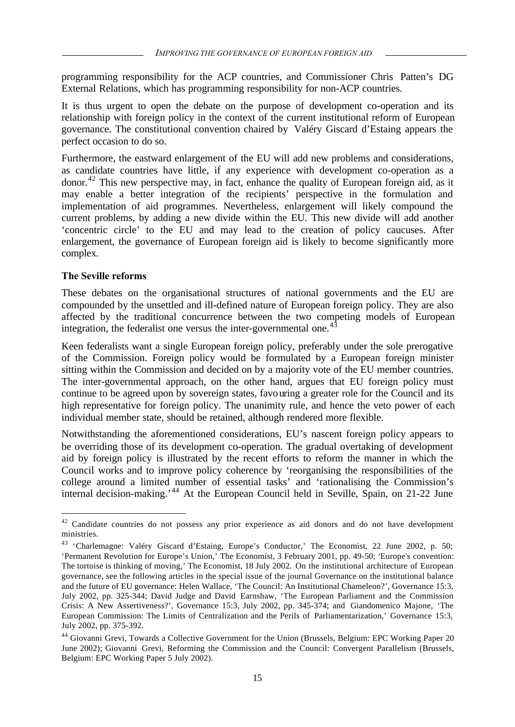programming responsibility for the ACP countries, and Commissioner Chris Patten's DG External Relations, which has programming responsibility for non-ACP countries.

It is thus urgent to open the debate on the purpose of development co-operation and its relationship with foreign policy in the context of the current institutional reform of European governance. The constitutional convention chaired by Valéry Giscard d'Estaing appears the perfect occasion to do so.

Furthermore, the eastward enlargement of the EU will add new problems and considerations, as candidate countries have little, if any experience with development co-operation as a donor.<sup>42</sup> This new perspective may, in fact, enhance the quality of European foreign aid, as it may enable a better integration of the recipients' perspective in the formulation and implementation of aid programmes. Nevertheless, enlargement will likely compound the current problems, by adding a new divide within the EU. This new divide will add another 'concentric circle' to the EU and may lead to the creation of policy caucuses. After enlargement, the governance of European foreign aid is likely to become significantly more complex.

### **The Seville reforms**

l

These debates on the organisational structures of national governments and the EU are compounded by the unsettled and ill-defined nature of European foreign policy. They are also affected by the traditional concurrence between the two competing models of European integration, the federalist one versus the inter-governmental one.<sup>43</sup>

Keen federalists want a single European foreign policy, preferably under the sole prerogative of the Commission. Foreign policy would be formulated by a European foreign minister sitting within the Commission and decided on by a majority vote of the EU member countries. The inter-governmental approach, on the other hand, argues that EU foreign policy must continue to be agreed upon by sovereign states, favouring a greater role for the Council and its high representative for foreign policy. The unanimity rule, and hence the veto power of each individual member state, should be retained, although rendered more flexible.

Notwithstanding the aforementioned considerations, EU's nascent foreign policy appears to be overriding those of its development co-operation. The gradual overtaking of development aid by foreign policy is illustrated by the recent efforts to reform the manner in which the Council works and to improve policy coherence by 'reorganising the responsibilities of the college around a limited number of essential tasks' and 'rationalising the Commission's internal decision-making.<sup>44</sup> At the European Council held in Seville, Spain, on 21-22 June

<sup>&</sup>lt;sup>42</sup> Candidate countries do not possess any prior experience as aid donors and do not have development ministries.

<sup>43</sup> 'Charlemagne: Valéry Giscard d'Estaing, Europe's Conductor,' The Economist, 22 June 2002, p. 50; 'Permanent Revolution for Europe's Union,' The Economist, 3 February 2001, pp. 49-50; 'Europe's convention: The tortoise is thinking of moving,' The Economist, 18 July 2002. On the institutional architecture of European governance, see the following articles in the special issue of the journal Governance on the institutional balance and the future of EU governance: Helen Wallace, 'The Council: An Institutional Chameleon?', Governance 15:3, July 2002, pp. 325-344; David Judge and David Earnshaw, 'The European Parliament and the Commission Crisis: A New Assertiveness?', Governance 15:3, July 2002, pp. 345-374; and Giandomenico Majone, 'The European Commission: The Limits of Centralization and the Perils of Parliamentarization,' Governance 15:3, July 2002, pp. 375-392.

<sup>&</sup>lt;sup>44</sup> Giovanni Grevi, Towards a Collective Government for the Union (Brussels, Belgium: EPC Working Paper 20 June 2002); Giovanni Grevi, Reforming the Commission and the Council: Convergent Parallelism (Brussels, Belgium: EPC Working Paper 5 July 2002).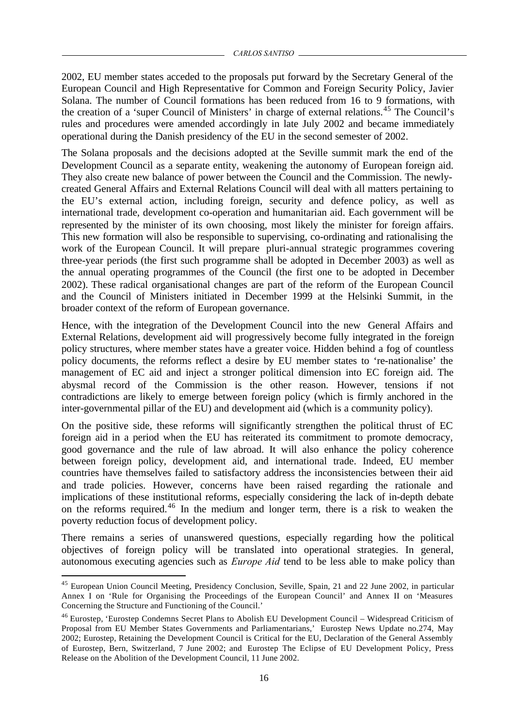2002, EU member states acceded to the proposals put forward by the Secretary General of the European Council and High Representative for Common and Foreign Security Policy, Javier Solana. The number of Council formations has been reduced from 16 to 9 formations, with the creation of a 'super Council of Ministers' in charge of external relations.<sup>45</sup> The Council's rules and procedures were amended accordingly in late July 2002 and became immediately operational during the Danish presidency of the EU in the second semester of 2002.

The Solana proposals and the decisions adopted at the Seville summit mark the end of the Development Council as a separate entity, weakening the autonomy of European foreign aid. They also create new balance of power between the Council and the Commission. The newlycreated General Affairs and External Relations Council will deal with all matters pertaining to the EU's external action, including foreign, security and defence policy, as well as international trade, development co-operation and humanitarian aid. Each government will be represented by the minister of its own choosing, most likely the minister for foreign affairs. This new formation will also be responsible to supervising, co-ordinating and rationalising the work of the European Council. It will prepare pluri-annual strategic programmes covering three-year periods (the first such programme shall be adopted in December 2003) as well as the annual operating programmes of the Council (the first one to be adopted in December 2002). These radical organisational changes are part of the reform of the European Council and the Council of Ministers initiated in December 1999 at the Helsinki Summit, in the broader context of the reform of European governance.

Hence, with the integration of the Development Council into the new General Affairs and External Relations, development aid will progressively become fully integrated in the foreign policy structures, where member states have a greater voice. Hidden behind a fog of countless policy documents, the reforms reflect a desire by EU member states to 're-nationalise' the management of EC aid and inject a stronger political dimension into EC foreign aid. The abysmal record of the Commission is the other reason. However, tensions if not contradictions are likely to emerge between foreign policy (which is firmly anchored in the inter-governmental pillar of the EU) and development aid (which is a community policy).

On the positive side, these reforms will significantly strengthen the political thrust of EC foreign aid in a period when the EU has reiterated its commitment to promote democracy, good governance and the rule of law abroad. It will also enhance the policy coherence between foreign policy, development aid, and international trade. Indeed, EU member countries have themselves failed to satisfactory address the inconsistencies between their aid and trade policies. However, concerns have been raised regarding the rationale and implications of these institutional reforms, especially considering the lack of in-depth debate on the reforms required.<sup>46</sup> In the medium and longer term, there is a risk to weaken the poverty reduction focus of development policy.

There remains a series of unanswered questions, especially regarding how the political objectives of foreign policy will be translated into operational strategies. In general, autonomous executing agencies such as *Europe Aid* tend to be less able to make policy than

<sup>&</sup>lt;sup>45</sup> European Union Council Meeting, Presidency Conclusion, Seville, Spain, 21 and 22 June 2002, in particular Annex I on 'Rule for Organising the Proceedings of the European Council' and Annex II on 'Measures Concerning the Structure and Functioning of the Council.'

<sup>&</sup>lt;sup>46</sup> Eurostep, 'Eurostep Condemns Secret Plans to Abolish EU Development Council – Widespread Criticism of Proposal from EU Member States Governments and Parliamentarians,' Eurostep News Update no.274, May 2002; Eurostep, Retaining the Development Council is Critical for the EU, Declaration of the General Assembly of Eurostep, Bern, Switzerland, 7 June 2002; and Eurostep The Eclipse of EU Development Policy, Press Release on the Abolition of the Development Council, 11 June 2002.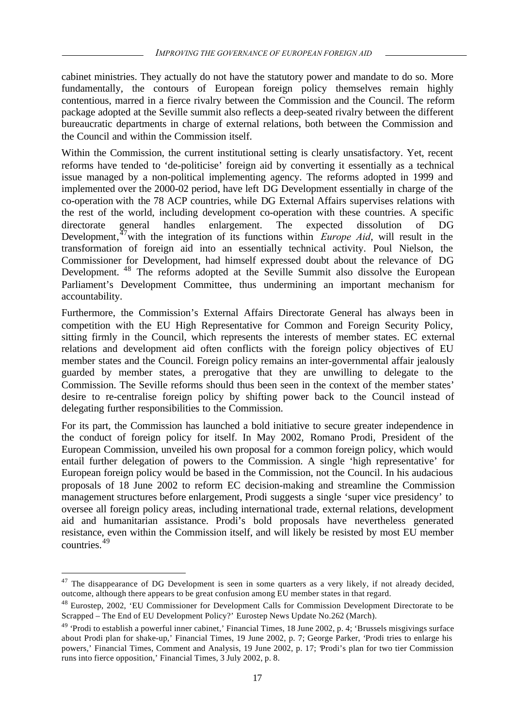cabinet ministries. They actually do not have the statutory power and mandate to do so. More fundamentally, the contours of European foreign policy themselves remain highly contentious, marred in a fierce rivalry between the Commission and the Council. The reform package adopted at the Seville summit also reflects a deep-seated rivalry between the different bureaucratic departments in charge of external relations, both between the Commission and the Council and within the Commission itself.

Within the Commission, the current institutional setting is clearly unsatisfactory. Yet, recent reforms have tended to 'de-politicise' foreign aid by converting it essentially as a technical issue managed by a non-political implementing agency. The reforms adopted in 1999 and implemented over the 2000-02 period, have left DG Development essentially in charge of the co-operation with the 78 ACP countries, while DG External Affairs supervises relations with the rest of the world, including development co-operation with these countries. A specific directorate general handles enlargement. The expected dissolution of DG Development,<sup>47</sup> with the integration of its functions within *Europe Aid*, will result in the transformation of foreign aid into an essentially technical activity. Poul Nielson, the Commissioner for Development, had himself expressed doubt about the relevance of DG Development. <sup>48</sup> The reforms adopted at the Seville Summit also dissolve the European Parliament's Development Committee, thus undermining an important mechanism for accountability.

Furthermore, the Commission's External Affairs Directorate General has always been in competition with the EU High Representative for Common and Foreign Security Policy, sitting firmly in the Council, which represents the interests of member states. EC external relations and development aid often conflicts with the foreign policy objectives of EU member states and the Council. Foreign policy remains an inter-governmental affair jealously guarded by member states, a prerogative that they are unwilling to delegate to the Commission. The Seville reforms should thus been seen in the context of the member states' desire to re-centralise foreign policy by shifting power back to the Council instead of delegating further responsibilities to the Commission.

For its part, the Commission has launched a bold initiative to secure greater independence in the conduct of foreign policy for itself. In May 2002, Romano Prodi, President of the European Commission, unveiled his own proposal for a common foreign policy, which would entail further delegation of powers to the Commission. A single 'high representative' for European foreign policy would be based in the Commission, not the Council. In his audacious proposals of 18 June 2002 to reform EC decision-making and streamline the Commission management structures before enlargement, Prodi suggests a single 'super vice presidency' to oversee all foreign policy areas, including international trade, external relations, development aid and humanitarian assistance. Prodi's bold proposals have nevertheless generated resistance, even within the Commission itself, and will likely be resisted by most EU member countries.<sup>49</sup>

 $47$  The disappearance of DG Development is seen in some quarters as a very likely, if not already decided, outcome, although there appears to be great confusion among EU member states in that regard.

<sup>&</sup>lt;sup>48</sup> Eurostep, 2002, 'EU Commissioner for Development Calls for Commission Development Directorate to be Scrapped – The End of EU Development Policy?' Eurostep News Update No.262 (March).

 $49$  'Prodi to establish a powerful inner cabinet,' Financial Times, 18 June 2002, p. 4; 'Brussels misgivings surface about Prodi plan for shake-up,' Financial Times, 19 June 2002, p. 7; George Parker, 'Prodi tries to enlarge his powers,' Financial Times, Comment and Analysis, 19 June 2002, p. 17; 'Prodi's plan for two tier Commission runs into fierce opposition,' Financial Times, 3 July 2002, p. 8.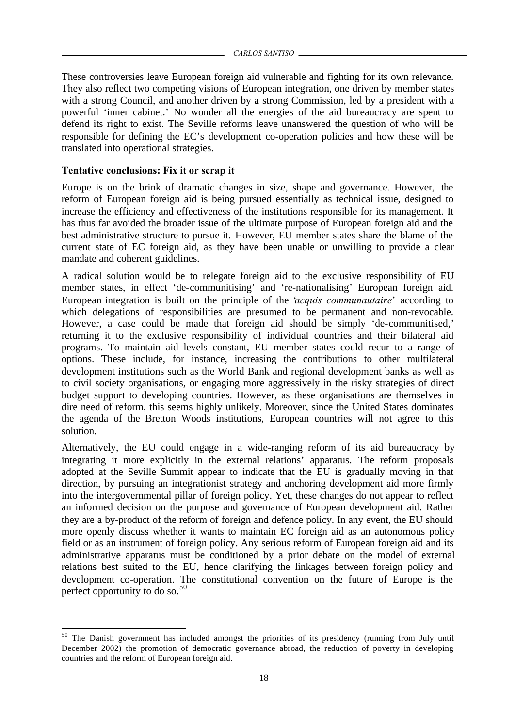These controversies leave European foreign aid vulnerable and fighting for its own relevance. They also reflect two competing visions of European integration, one driven by member states with a strong Council, and another driven by a strong Commission, led by a president with a powerful 'inner cabinet.' No wonder all the energies of the aid bureaucracy are spent to defend its right to exist. The Seville reforms leave unanswered the question of who will be responsible for defining the EC's development co-operation policies and how these will be translated into operational strategies.

# **Tentative conclusions: Fix it or scrap it**

l

Europe is on the brink of dramatic changes in size, shape and governance. However, the reform of European foreign aid is being pursued essentially as technical issue, designed to increase the efficiency and effectiveness of the institutions responsible for its management. It has thus far avoided the broader issue of the ultimate purpose of European foreign aid and the best administrative structure to pursue it. However, EU member states share the blame of the current state of EC foreign aid, as they have been unable or unwilling to provide a clear mandate and coherent guidelines.

A radical solution would be to relegate foreign aid to the exclusive responsibility of EU member states, in effect 'de-communitising' and 're-nationalising' European foreign aid. European integration is built on the principle of the '*acquis communautaire*' according to which delegations of responsibilities are presumed to be permanent and non-revocable. However, a case could be made that foreign aid should be simply 'de-communitised,' returning it to the exclusive responsibility of individual countries and their bilateral aid programs. To maintain aid levels constant, EU member states could recur to a range of options. These include, for instance, increasing the contributions to other multilateral development institutions such as the World Bank and regional development banks as well as to civil society organisations, or engaging more aggressively in the risky strategies of direct budget support to developing countries. However, as these organisations are themselves in dire need of reform, this seems highly unlikely. Moreover, since the United States dominates the agenda of the Bretton Woods institutions, European countries will not agree to this solution.

Alternatively, the EU could engage in a wide-ranging reform of its aid bureaucracy by integrating it more explicitly in the external relations' apparatus. The reform proposals adopted at the Seville Summit appear to indicate that the EU is gradually moving in that direction, by pursuing an integrationist strategy and anchoring development aid more firmly into the intergovernmental pillar of foreign policy. Yet, these changes do not appear to reflect an informed decision on the purpose and governance of European development aid. Rather they are a by-product of the reform of foreign and defence policy. In any event, the EU should more openly discuss whether it wants to maintain EC foreign aid as an autonomous policy field or as an instrument of foreign policy. Any serious reform of European foreign aid and its administrative apparatus must be conditioned by a prior debate on the model of external relations best suited to the EU, hence clarifying the linkages between foreign policy and development co-operation. The constitutional convention on the future of Europe is the perfect opportunity to do so.<sup>50</sup>

<sup>&</sup>lt;sup>50</sup> The Danish government has included amongst the priorities of its presidency (running from July until December 2002) the promotion of democratic governance abroad, the reduction of poverty in developing countries and the reform of European foreign aid.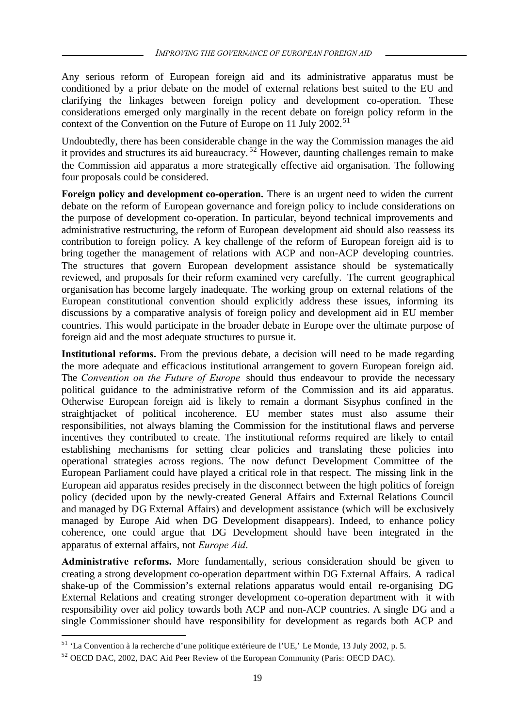Any serious reform of European foreign aid and its administrative apparatus must be conditioned by a prior debate on the model of external relations best suited to the EU and clarifying the linkages between foreign policy and development co-operation. These considerations emerged only marginally in the recent debate on foreign policy reform in the context of the Convention on the Future of Europe on 11 July 2002.<sup>51</sup>

Undoubtedly, there has been considerable change in the way the Commission manages the aid it provides and structures its aid bureaucracy.<sup>52</sup> However, daunting challenges remain to make the Commission aid apparatus a more strategically effective aid organisation. The following four proposals could be considered.

**Foreign policy and development co-operation.** There is an urgent need to widen the current debate on the reform of European governance and foreign policy to include considerations on the purpose of development co-operation. In particular, beyond technical improvements and administrative restructuring, the reform of European development aid should also reassess its contribution to foreign policy. A key challenge of the reform of European foreign aid is to bring together the management of relations with ACP and non-ACP developing countries. The structures that govern European development assistance should be systematically reviewed, and proposals for their reform examined very carefully. The current geographical organisation has become largely inadequate. The working group on external relations of the European constitutional convention should explicitly address these issues, informing its discussions by a comparative analysis of foreign policy and development aid in EU member countries. This would participate in the broader debate in Europe over the ultimate purpose of foreign aid and the most adequate structures to pursue it.

**Institutional reforms.** From the previous debate, a decision will need to be made regarding the more adequate and efficacious institutional arrangement to govern European foreign aid. The *Convention on the Future of Europe* should thus endeavour to provide the necessary political guidance to the administrative reform of the Commission and its aid apparatus. Otherwise European foreign aid is likely to remain a dormant Sisyphus confined in the straightjacket of political incoherence. EU member states must also assume their responsibilities, not always blaming the Commission for the institutional flaws and perverse incentives they contributed to create. The institutional reforms required are likely to entail establishing mechanisms for setting clear policies and translating these policies into operational strategies across regions. The now defunct Development Committee of the European Parliament could have played a critical role in that respect. The missing link in the European aid apparatus resides precisely in the disconnect between the high politics of foreign policy (decided upon by the newly-created General Affairs and External Relations Council and managed by DG External Affairs) and development assistance (which will be exclusively managed by Europe Aid when DG Development disappears). Indeed, to enhance policy coherence, one could argue that DG Development should have been integrated in the apparatus of external affairs, not *Europe Aid*.

**Administrative reforms.** More fundamentally, serious consideration should be given to creating a strong development co-operation department within DG External Affairs. A radical shake-up of the Commission's external relations apparatus would entail re-organising DG External Relations and creating stronger development co-operation department with it with responsibility over aid policy towards both ACP and non-ACP countries. A single DG and a single Commissioner should have responsibility for development as regards both ACP and

<sup>51</sup> 'La Convention à la recherche d'une politique extérieure de l'UE,' Le Monde, 13 July 2002, p. 5.

<sup>52</sup> OECD DAC, 2002, DAC Aid Peer Review of the European Community (Paris: OECD DAC).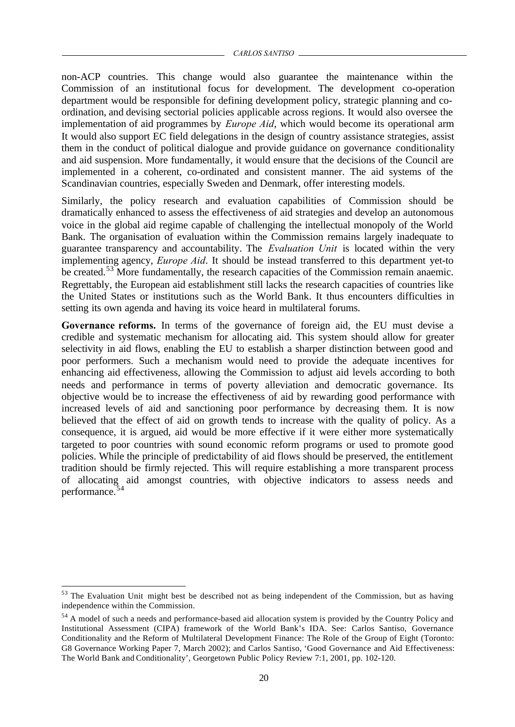non-ACP countries. This change would also guarantee the maintenance within the Commission of an institutional focus for development. The development co-operation department would be responsible for defining development policy, strategic planning and coordination, and devising sectorial policies applicable across regions. It would also oversee the implementation of aid programmes by *Europe Aid*, which would become its operational arm It would also support EC field delegations in the design of country assistance strategies, assist them in the conduct of political dialogue and provide guidance on governance conditionality and aid suspension. More fundamentally, it would ensure that the decisions of the Council are implemented in a coherent, co-ordinated and consistent manner. The aid systems of the Scandinavian countries, especially Sweden and Denmark, offer interesting models.

Similarly, the policy research and evaluation capabilities of Commission should be dramatically enhanced to assess the effectiveness of aid strategies and develop an autonomous voice in the global aid regime capable of challenging the intellectual monopoly of the World Bank. The organisation of evaluation within the Commission remains largely inadequate to guarantee transparency and accountability. The *Evaluation Unit* is located within the very implementing agency, *Europe Aid*. It should be instead transferred to this department yet-to be created.<sup>53</sup> More fundamentally, the research capacities of the Commission remain anaemic. Regrettably, the European aid establishment still lacks the research capacities of countries like the United States or institutions such as the World Bank. It thus encounters difficulties in setting its own agenda and having its voice heard in multilateral forums.

**Governance reforms.** In terms of the governance of foreign aid, the EU must devise a credible and systematic mechanism for allocating aid. This system should allow for greater selectivity in aid flows, enabling the EU to establish a sharper distinction between good and poor performers. Such a mechanism would need to provide the adequate incentives for enhancing aid effectiveness, allowing the Commission to adjust aid levels according to both needs and performance in terms of poverty alleviation and democratic governance. Its objective would be to increase the effectiveness of aid by rewarding good performance with increased levels of aid and sanctioning poor performance by decreasing them. It is now believed that the effect of aid on growth tends to increase with the quality of policy. As a consequence, it is argued, aid would be more effective if it were either more systematically targeted to poor countries with sound economic reform programs or used to promote good policies. While the principle of predictability of aid flows should be preserved, the entitlement tradition should be firmly rejected. This will require establishing a more transparent process of allocating aid amongst countries, with objective indicators to assess needs and performance.<sup>54</sup>

<sup>&</sup>lt;sup>53</sup> The Evaluation Unit might best be described not as being independent of the Commission, but as having independence within the Commission.

<sup>&</sup>lt;sup>54</sup> A model of such a needs and performance-based aid allocation system is provided by the Country Policy and Institutional Assessment (CIPA) framework of the World Bank's IDA. See: Carlos Santiso, Governance Conditionality and the Reform of Multilateral Development Finance: The Role of the Group of Eight (Toronto: G8 Governance Working Paper 7, March 2002); and Carlos Santiso, 'Good Governance and Aid Effectiveness: The World Bank and Conditionality', Georgetown Public Policy Review 7:1, 2001, pp. 102-120.